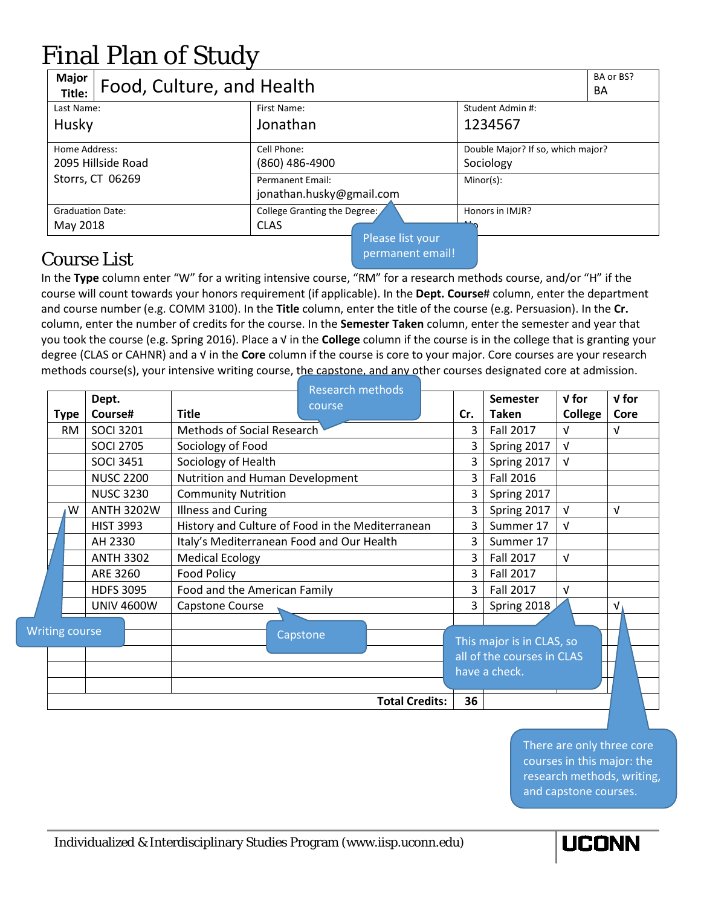## Final Plan of Study

| Major<br>Food, Culture, and Health<br>Title:            |                                                     | BA or BS?<br><b>BA</b>                                         |  |  |
|---------------------------------------------------------|-----------------------------------------------------|----------------------------------------------------------------|--|--|
| Last Name:<br>Husky                                     | First Name:<br>Jonathan                             | Student Admin #:<br>1234567                                    |  |  |
| Home Address:<br>2095 Hillside Road<br>Storrs, CT 06269 | Cell Phone:<br>$(860)$ 486-4900<br>Permanent Email: | Double Major? If so, which major?<br>Sociology<br>$Minor(s)$ : |  |  |
|                                                         | jonathan.husky@gmail.com                            |                                                                |  |  |
| <b>Graduation Date:</b><br>May 2018                     | College Granting the Degree:<br><b>CLAS</b>         | Honors in IMJR?                                                |  |  |
|                                                         | Please list your                                    |                                                                |  |  |

## Course List

permanent email!

In the **Type** column enter "W" for a writing intensive course, "RM" for a research methods course, and/or "H" if the course will count towards your honors requirement (if applicable). In the **Dept. Course**# column, enter the department and course number (e.g. COMM 3100). In the **Title** column, enter the title of the course (e.g. Persuasion). In the **Cr.** column, enter the number of credits for the course. In the **Semester Taken** column, enter the semester and year that you took the course (e.g. Spring 2016). Place a √ in the **College** column if the course is in the college that is granting your degree (CLAS or CAHNR) and a √ in the **Core** column if the course is core to your major. Core courses are your research methods course(s), your intensive writing course, the capstone, and any other courses designated core at admission.

|      | Dept.                 |                                           | <b>Research methods</b>                          |                                                                          | Semester         | $V$ for    | $V$ for    |
|------|-----------------------|-------------------------------------------|--------------------------------------------------|--------------------------------------------------------------------------|------------------|------------|------------|
| Type | Course#               | <b>Title</b>                              | course                                           | Cr.                                                                      | <b>Taken</b>     | College    | Core       |
| RM   | <b>SOCI 3201</b>      | Methods of Social Research                | 3                                                | Fall 2017                                                                | v                | $\sqrt{ }$ |            |
|      | <b>SOCI 2705</b>      | Sociology of Food                         |                                                  |                                                                          | Spring 2017      | $\sqrt{ }$ |            |
|      | <b>SOCI 3451</b>      | Sociology of Health                       | 3                                                | Spring 2017                                                              | $\sqrt{ }$       |            |            |
|      | <b>NUSC 2200</b>      | Nutrition and Human Development           | 3                                                | Fall 2016                                                                |                  |            |            |
|      | <b>NUSC 3230</b>      | <b>Community Nutrition</b>                |                                                  |                                                                          | Spring 2017      |            |            |
| W    | <b>ANTH 3202W</b>     | <b>Illness and Curing</b>                 |                                                  | 3                                                                        | Spring 2017      | $\sqrt{ }$ | $\sqrt{ }$ |
|      | <b>HIST 3993</b>      |                                           | History and Culture of Food in the Mediterranean | 3                                                                        | Summer 17        | $\sqrt{ }$ |            |
|      | AH 2330               | Italy's Mediterranean Food and Our Health |                                                  | 3                                                                        | Summer 17        |            |            |
|      | <b>ANTH 3302</b>      | <b>Medical Ecology</b>                    |                                                  | 3                                                                        | <b>Fall 2017</b> | $\sqrt{ }$ |            |
|      | ARE 3260              | <b>Food Policy</b>                        |                                                  | 3                                                                        | <b>Fall 2017</b> |            |            |
|      | <b>HDFS 3095</b>      | Food and the American Family              |                                                  | 3                                                                        | <b>Fall 2017</b> | $\sqrt{ }$ |            |
|      | <b>UNIV 4600W</b>     | Capstone Course                           |                                                  | 3                                                                        | Spring 2018      |            | V.         |
|      | <b>Writing course</b> |                                           | Capstone                                         | This major is in CLAS, so<br>all of the courses in CLAS<br>have a check. |                  |            |            |
|      |                       |                                           | <b>Total Credits:</b>                            | 36                                                                       |                  |            |            |

There are only three core courses in this major: the research methods, writing, and capstone courses.